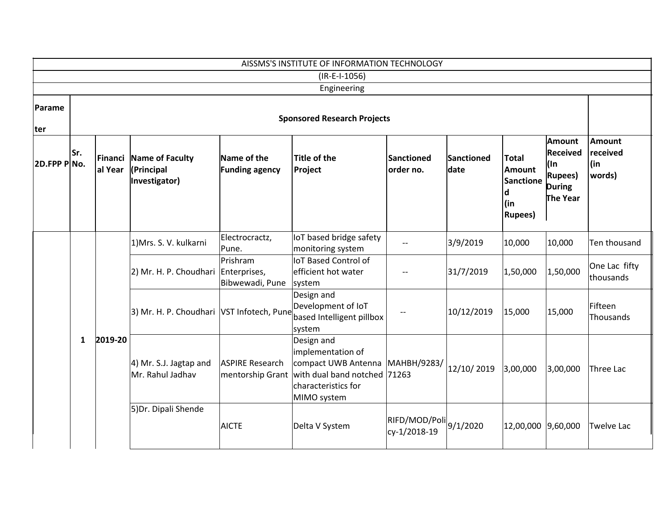| AISSMS'S INSTITUTE OF INFORMATION TECHNOLOGY |                                    |                    |                                                |                                            |                                                                                                                              |                                                                         |                    |                                                                                  |                                                                                          |                                            |                      |  |
|----------------------------------------------|------------------------------------|--------------------|------------------------------------------------|--------------------------------------------|------------------------------------------------------------------------------------------------------------------------------|-------------------------------------------------------------------------|--------------------|----------------------------------------------------------------------------------|------------------------------------------------------------------------------------------|--------------------------------------------|----------------------|--|
| $(IR-E-I-1056)$                              |                                    |                    |                                                |                                            |                                                                                                                              |                                                                         |                    |                                                                                  |                                                                                          |                                            |                      |  |
| Engineering                                  |                                    |                    |                                                |                                            |                                                                                                                              |                                                                         |                    |                                                                                  |                                                                                          |                                            |                      |  |
| Parame<br>ter                                | <b>Sponsored Research Projects</b> |                    |                                                |                                            |                                                                                                                              |                                                                         |                    |                                                                                  |                                                                                          |                                            |                      |  |
| 2D.FPP PNo.                                  | Sr.                                | Financi<br>al Year | Name of Faculty<br>(Principal<br>Investigator) | Name of the<br><b>Funding agency</b>       | Title of the<br>Project                                                                                                      | <b>Sanctioned</b><br>order no.                                          | Sanctioned<br>date | <b>Total</b><br><b>Amount</b><br><b>Sanctione</b><br>d<br>(in<br><b>Rupees</b> ) | <b>Amount</b><br><b>Received</b><br>l(In<br><b>Rupees</b> )<br><b>During</b><br>The Year | <b>Amount</b><br>received<br>(in<br>words) |                      |  |
|                                              |                                    |                    | 1) Mrs. S. V. kulkarni                         | Electrocractz,<br>Pune.                    | IoT based bridge safety<br>monitoring system                                                                                 | $-$                                                                     | 3/9/2019           | 10,000                                                                           | 10,000                                                                                   | Ten thousand                               |                      |  |
|                                              |                                    |                    | 2) Mr. H. P. Choudhari Enterprises,            | Prishram<br>Bibwewadi, Pune                | IoT Based Control of<br>efficient hot water<br>system                                                                        |                                                                         | 31/7/2019          | 1,50,000                                                                         | 1,50,000                                                                                 | One Lac fifty<br>thousands                 |                      |  |
|                                              | $\mathbf{1}$                       | 2019-20            |                                                | 3) Mr. H. P. Choudhari VST Infotech, Pune  |                                                                                                                              | Design and<br>Development of IoT<br>based Intelligent pillbox<br>system | --                 | 10/12/2019                                                                       | 15,000                                                                                   | 15,000                                     | Fifteen<br>Thousands |  |
|                                              |                                    |                    | $ 4)$ Mr. S.J. Jagtap and<br>Mr. Rahul Jadhav  | <b>ASPIRE Research</b><br>mentorship Grant | Design and<br>implementation of<br>compact UWB Antenna<br>with dual band notched 71263<br>characteristics for<br>MIMO system | МАНВН/9283/                                                             | 12/10/2019         | 3,00,000                                                                         | 3,00,000                                                                                 | Three Lac                                  |                      |  |
|                                              |                                    |                    | 5) Dr. Dipali Shende                           | <b>AICTE</b>                               | Delta V System                                                                                                               | $ R$ IFD/MOD/Poli $ 9/1/2020$<br>cy-1/2018-19                           |                    | 12,00,000 9,60,000                                                               |                                                                                          | Twelve Lac                                 |                      |  |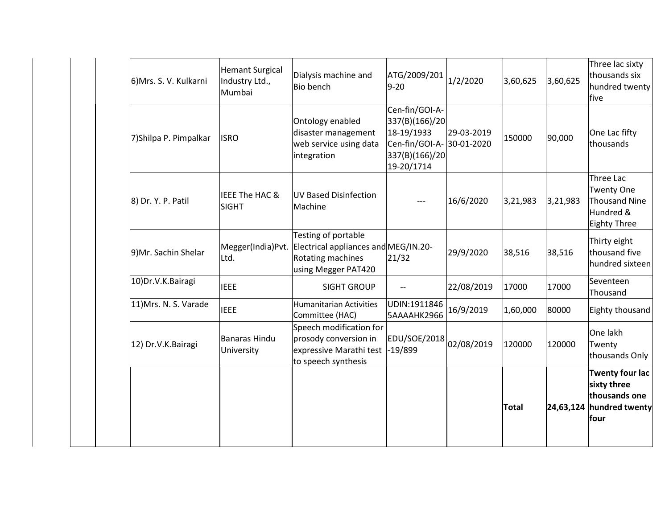|                        |                                                    |                                                                                                         |                                                                                                             |            | <b>Total</b> |          | <b>Twenty four lac</b><br>sixty three<br>thousands one<br>24,63,124 hundred twenty<br>four |
|------------------------|----------------------------------------------------|---------------------------------------------------------------------------------------------------------|-------------------------------------------------------------------------------------------------------------|------------|--------------|----------|--------------------------------------------------------------------------------------------|
| 12) Dr.V.K.Bairagi     | <b>Banaras Hindu</b><br>University                 | Speech modification for<br>prosody conversion in<br>expressive Marathi test<br>to speech synthesis      | EDU/SOE/2018 02/08/2019<br>-19/899                                                                          |            | 120000       | 120000   | One lakh<br>Twenty<br>thousands Only                                                       |
| 11) Mrs. N. S. Varade  | <b>IEEE</b>                                        | <b>Humanitarian Activities</b><br>Committee (HAC)                                                       | UDIN:1911846<br>5AAAAHK2966                                                                                 | 16/9/2019  | 1,60,000     | 80000    | Eighty thousand                                                                            |
| 10) Dr.V.K. Bairagi    | <b>IEEE</b>                                        | <b>SIGHT GROUP</b>                                                                                      | $-$                                                                                                         | 22/08/2019 | 17000        | 17000    | Seventeen<br>Thousand                                                                      |
| 9) Mr. Sachin Shelar   | Megger(India)Pvt.<br>Ltd.                          | Testing of portable<br>Electrical appliances and MEG/IN.20-<br>Rotating machines<br>using Megger PAT420 | 21/32                                                                                                       | 29/9/2020  | 38,516       | 38,516   | Thirty eight<br>thousand five<br>hundred sixteen                                           |
| 8) Dr. Y. P. Patil     | <b>IEEE The HAC &amp;</b><br><b>SIGHT</b>          | UV Based Disinfection<br>Machine                                                                        |                                                                                                             | 16/6/2020  | 3,21,983     | 3,21,983 | Three Lac<br>Twenty One<br>Thousand Nine<br>Hundred &<br><b>Eighty Three</b>               |
| 7) Shilpa P. Pimpalkar | <b>ISRO</b>                                        | Ontology enabled<br>disaster management<br>web service using data<br>integration                        | Cen-fin/GOI-A-<br>337(B)(166)/20<br>18-19/1933<br>Cen-fin/GOI-A- 30-01-2020<br>337(B)(166)/20<br>19-20/1714 | 29-03-2019 | 150000       | 90,000   | One Lac fifty<br>thousands                                                                 |
| 6) Mrs. S. V. Kulkarni | <b>Hemant Surgical</b><br>Industry Ltd.,<br>Mumbai | Dialysis machine and<br><b>Bio bench</b>                                                                | ATG/2009/201<br>$9 - 20$                                                                                    | 1/2/2020   | 3,60,625     | 3,60,625 | Three lac sixty<br>thousands six<br>hundred twenty<br><b>Ifive</b>                         |
|                        |                                                    |                                                                                                         |                                                                                                             |            |              |          |                                                                                            |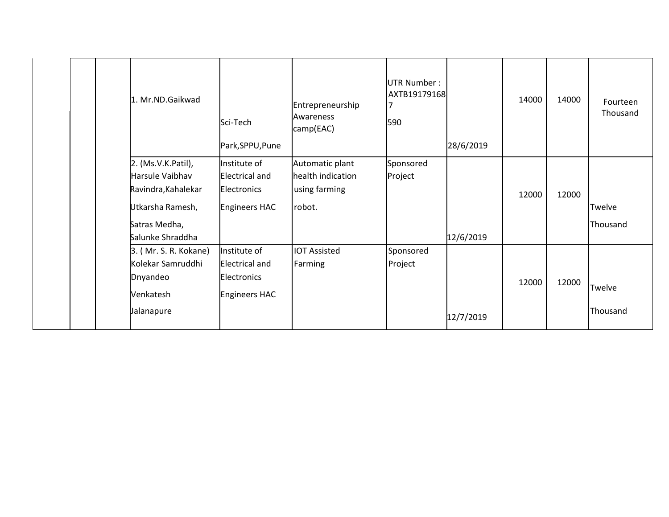|  | 1. Mr.ND.Gaikwad                      | Sci-Tech<br>Park, SPPU, Pune          | Entrepreneurship<br>Awareness<br>camp(EAC) | <b>UTR Number:</b><br>AXTB19179168<br>590 | 28/6/2019 | 14000 | 14000 | Fourteen<br>Thousand |
|--|---------------------------------------|---------------------------------------|--------------------------------------------|-------------------------------------------|-----------|-------|-------|----------------------|
|  | 2. (Ms.V.K.Patil),<br>Harsule Vaibhav | Institute of<br><b>Electrical and</b> | Automatic plant<br>health indication       | Sponsored                                 |           |       |       |                      |
|  | Ravindra, Kahalekar                   | Electronics                           | using farming                              | Project                                   |           | 12000 | 12000 |                      |
|  | Utkarsha Ramesh,                      | Engineers HAC                         | robot.                                     |                                           |           |       |       | Twelve               |
|  | Satras Medha,                         |                                       |                                            |                                           |           |       |       | Thousand             |
|  | Salunke Shraddha                      |                                       |                                            |                                           | 12/6/2019 |       |       |                      |
|  | 3. (Mr. S. R. Kokane)                 | Institute of                          | <b>IOT Assisted</b>                        | Sponsored                                 |           |       |       |                      |
|  | Kolekar Samruddhi                     | <b>Electrical and</b>                 | Farming                                    | Project                                   |           |       |       |                      |
|  | Dnyandeo                              | Electronics                           |                                            |                                           |           | 12000 | 12000 |                      |
|  | Venkatesh                             | Engineers HAC                         |                                            |                                           |           |       |       | Twelve               |
|  | Jalanapure                            |                                       |                                            |                                           | 12/7/2019 |       |       | Thousand             |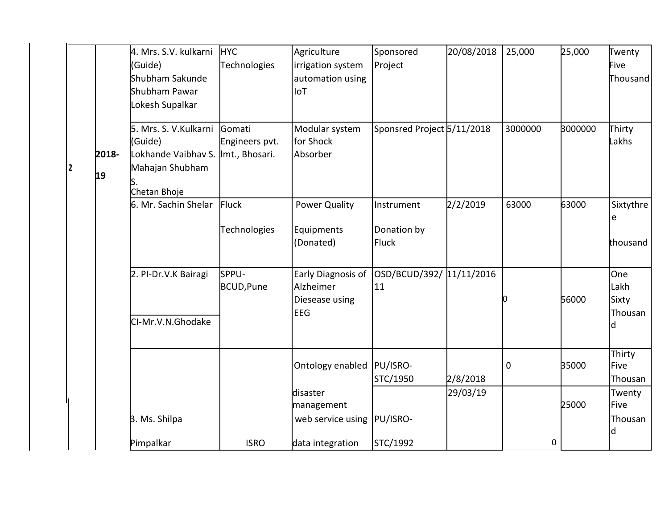|   |             | 4. Mrs. S.V. kulkarni HYC<br>(Guide)<br>Shubham Sakunde<br>Shubham Pawar<br>Lokesh Supalkar                | Technologies             | Agriculture<br>irrigation system<br>automation using<br><b>IoT</b> | Sponsored<br>Project                      | 20/08/2018 | 25,000      | 25,000  | Twenty<br>Five<br>Thousand           |
|---|-------------|------------------------------------------------------------------------------------------------------------|--------------------------|--------------------------------------------------------------------|-------------------------------------------|------------|-------------|---------|--------------------------------------|
| 2 | 2018-<br>19 | 5. Mrs. S. V. Kulkarni<br>(Guide)<br>Lokhande Vaibhav S. Imt., Bhosari.<br>Mahajan Shubham<br>Chetan Bhoje | Gomati<br>Engineers pvt. | Modular system<br>for Shock<br>Absorber                            | Sponsred Project 5/11/2018                |            | 3000000     | 3000000 | Thirty<br>Lakhs                      |
|   |             | 6. Mr. Sachin Shelar                                                                                       | Fluck<br>Technologies    | <b>Power Quality</b><br>Equipments<br>(Donated)                    | Instrument<br>Donation by<br><b>Fluck</b> | 2/2/2019   | 63000       | 63000   | Sixtythre<br>e<br>thousand           |
|   |             | 2. PI-Dr.V.K Bairagi<br>CI-Mr.V.N.Ghodake                                                                  | SPPU-<br>BCUD, Pune      | Early Diagnosis of<br>Alzheimer<br>Diesease using<br><b>EEG</b>    | OSD/BCUD/392/ 11/11/2016<br>11            |            |             | 56000   | One<br>Lakh<br>Sixty<br>Thousan<br>d |
|   |             |                                                                                                            |                          | Ontology enabled  PU/ISRO-                                         | STC/1950                                  | 2/8/2018   | $\mathbf 0$ | 35000   | Thirty<br>Five<br>Thousan            |
|   |             | 3. Ms. Shilpa                                                                                              |                          | disaster<br>management<br>web service using  PU/ISRO-              |                                           | 29/03/19   |             | 25000   | Twenty<br>Five<br>Thousan<br>d       |
|   |             | Pimpalkar                                                                                                  | <b>ISRO</b>              | data integration                                                   | STC/1992                                  |            | 0           |         |                                      |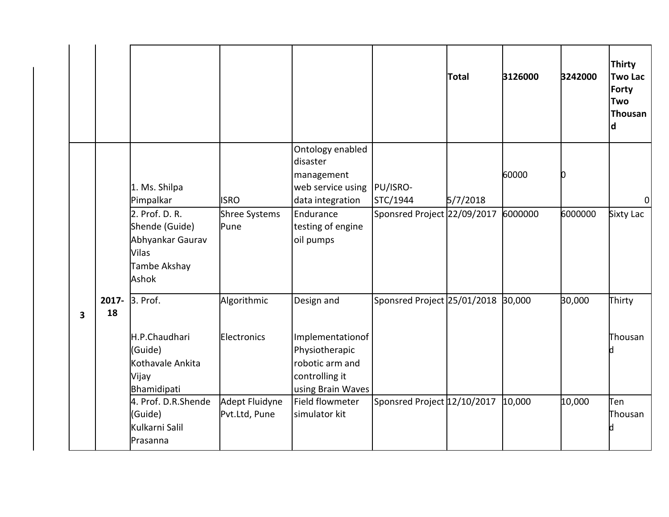|   |             |                                                                                                                             |                                      |                                                                                                                                              |                                         | <b>Total</b> | 3126000          | 3242000 | <b>Thirty</b><br><b>Two Lac</b><br><b>Forty</b><br>Two<br><b>Thousan</b><br>d |
|---|-------------|-----------------------------------------------------------------------------------------------------------------------------|--------------------------------------|----------------------------------------------------------------------------------------------------------------------------------------------|-----------------------------------------|--------------|------------------|---------|-------------------------------------------------------------------------------|
|   |             | 1. Ms. Shilpa<br>Pimpalkar<br>2. Prof. D. R.<br>Shende (Guide)<br>Abhyankar Gaurav<br><b>Vilas</b><br>Tambe Akshay<br>Ashok | <b>ISRO</b><br>Shree Systems<br>Pune | Ontology enabled<br>disaster<br>management<br>web service using  PU/ISRO-<br>data integration<br>Endurance<br>testing of engine<br>oil pumps | STC/1944<br>Sponsred Project 22/09/2017 | 5/7/2018     | 60000<br>6000000 | 6000000 | 0<br><b>Sixty Lac</b>                                                         |
| 3 | 2017-<br>18 | 3. Prof.<br>H.P.Chaudhari<br>(Guide)                                                                                        | Algorithmic<br>Electronics           | Design and<br>Implementationof<br>Physiotherapic                                                                                             | Sponsred Project 25/01/2018             |              | 30,000           | 30,000  | Thirty<br>Thousan                                                             |
|   |             | Kothavale Ankita<br>Vijay<br>Bhamidipati<br>4. Prof. D.R.Shende<br>(Guide)<br>Kulkarni Salil<br>Prasanna                    | Adept Fluidyne<br>Pvt.Ltd, Pune      | robotic arm and<br>controlling it<br>using Brain Waves<br>Field flowmeter<br>simulator kit                                                   | Sponsred Project 12/10/2017             |              | 10,000           | 10,000  | Ten<br>Thousan                                                                |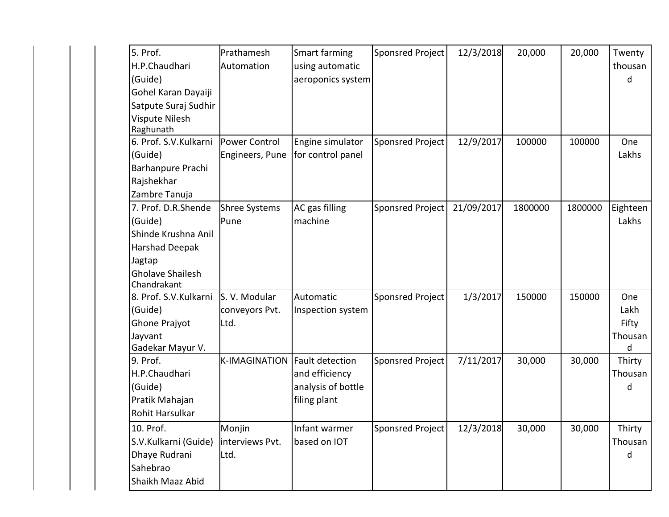| 5. Prof.                | Prathamesh           | Smart farming      | Sponsred Project | 12/3/2018  | 20,000  | 20,000  | Twenty   |
|-------------------------|----------------------|--------------------|------------------|------------|---------|---------|----------|
| H.P.Chaudhari           | Automation           | using automatic    |                  |            |         |         | thousan  |
| (Guide)                 |                      | aeroponics system  |                  |            |         |         | d        |
| Gohel Karan Dayaiji     |                      |                    |                  |            |         |         |          |
| Satpute Suraj Sudhir    |                      |                    |                  |            |         |         |          |
| Vispute Nilesh          |                      |                    |                  |            |         |         |          |
| Raghunath               |                      |                    |                  |            |         |         |          |
| 6. Prof. S.V.Kulkarni   | Power Control        | Engine simulator   | Sponsred Project | 12/9/2017  | 100000  | 100000  | One      |
| (Guide)                 | Engineers, Pune      | for control panel  |                  |            |         |         | Lakhs    |
| Barhanpure Prachi       |                      |                    |                  |            |         |         |          |
| Rajshekhar              |                      |                    |                  |            |         |         |          |
| Zambre Tanuja           |                      |                    |                  |            |         |         |          |
| 7. Prof. D.R.Shende     | <b>Shree Systems</b> | AC gas filling     | Sponsred Project | 21/09/2017 | 1800000 | 1800000 | Eighteen |
| (Guide)                 | Pune                 | machine            |                  |            |         |         | Lakhs    |
| Shinde Krushna Anil     |                      |                    |                  |            |         |         |          |
| Harshad Deepak          |                      |                    |                  |            |         |         |          |
| Jagtap                  |                      |                    |                  |            |         |         |          |
| <b>Gholave Shailesh</b> |                      |                    |                  |            |         |         |          |
| Chandrakant             |                      |                    |                  |            |         |         |          |
| 8. Prof. S.V.Kulkarni   | S. V. Modular        | Automatic          | Sponsred Project | 1/3/2017   | 150000  | 150000  | One      |
| (Guide)                 | conveyors Pvt.       | Inspection system  |                  |            |         |         | Lakh     |
| Ghone Prajyot           | Ltd.                 |                    |                  |            |         |         | Fifty    |
| Jayvant                 |                      |                    |                  |            |         |         | Thousan  |
| Gadekar Mayur V.        |                      |                    |                  |            |         |         | d        |
| 9. Prof.                | <b>K-IMAGINATION</b> | Fault detection    | Sponsred Project | 7/11/2017  | 30,000  | 30,000  | Thirty   |
| H.P.Chaudhari           |                      | and efficiency     |                  |            |         |         | Thousan  |
| (Guide)                 |                      | analysis of bottle |                  |            |         |         | d        |
| Pratik Mahajan          |                      | filing plant       |                  |            |         |         |          |
| Rohit Harsulkar         |                      |                    |                  |            |         |         |          |
| 10. Prof.               | Monjin               | Infant warmer      | Sponsred Project | 12/3/2018  | 30,000  | 30,000  | Thirty   |
| S.V.Kulkarni (Guide)    | interviews Pvt.      | based on IOT       |                  |            |         |         | Thousan  |
| Dhaye Rudrani           | Ltd.                 |                    |                  |            |         |         | d        |
| Sahebrao                |                      |                    |                  |            |         |         |          |
| Shaikh Maaz Abid        |                      |                    |                  |            |         |         |          |